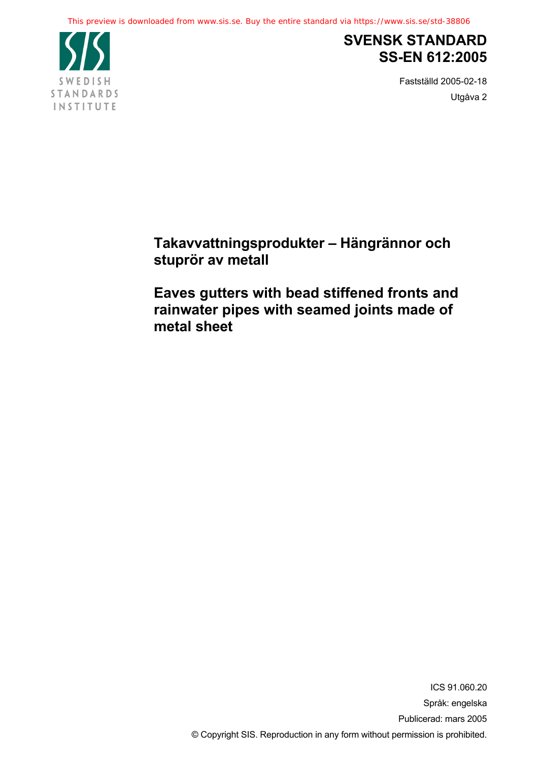

# **SVENSK STANDARD SS-EN 612:2005**

Fastställd 2005-02-18 Utgåva 2

**Takavvattningsprodukter – Hängrännor och stuprör av metall**

**Eaves gutters with bead stiffened fronts and rainwater pipes with seamed joints made of metal sheet**

> ICS 91.060.20 Språk: engelska Publicerad: mars 2005 © Copyright SIS. Reproduction in any form without permission is prohibited.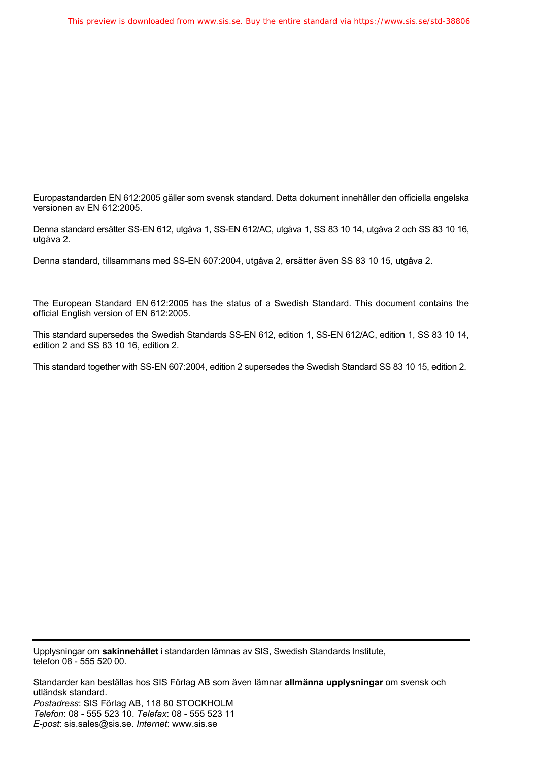Europastandarden EN 612:2005 gäller som svensk standard. Detta dokument innehåller den officiella engelska versionen av EN 612:2005.

Denna standard ersätter SS-EN 612, utgåva 1, SS-EN 612/AC, utgåva 1, SS 83 10 14, utgåva 2 och SS 83 10 16, utgåva 2.

Denna standard, tillsammans med SS-EN 607:2004, utgåva 2, ersätter även SS 83 10 15, utgåva 2.

The European Standard EN 612:2005 has the status of a Swedish Standard. This document contains the official English version of EN 612:2005.

This standard supersedes the Swedish Standards SS-EN 612, edition 1, SS-EN 612/AC, edition 1, SS 83 10 14, edition 2 and SS 83 10 16, edition 2.

This standard together with SS-EN 607:2004, edition 2 supersedes the Swedish Standard SS 83 10 15, edition 2.

Upplysningar om **sakinnehållet** i standarden lämnas av SIS, Swedish Standards Institute, telefon 08 - 555 520 00.

Standarder kan beställas hos SIS Förlag AB som även lämnar **allmänna upplysningar** om svensk och utländsk standard. *Postadress*: SIS Förlag AB, 118 80 STOCKHOLM *Telefon*: 08 - 555 523 10. *Telefax*: 08 - 555 523 11 *E-post*: sis.sales@sis.se. *Internet*: www.sis.se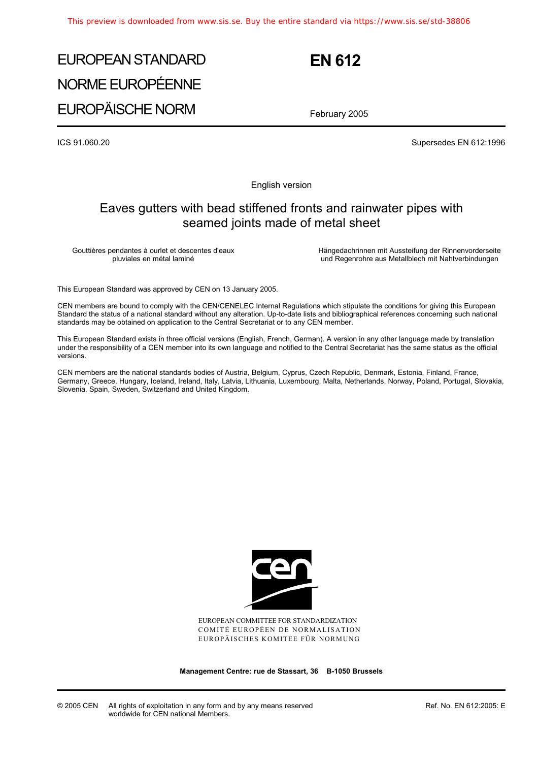# EUROPEAN STANDARD NORME EUROPÉENNE EUROPÄISCHE NORM

 **EN 612** 

February 2005

ICS 91.060.20 Supersedes EN 612:1996

English version

# Eaves gutters with bead stiffened fronts and rainwater pipes with seamed joints made of metal sheet

Gouttières pendantes à ourlet et descentes d'eaux pluviales en métal laminé

 Hängedachrinnen mit Aussteifung der Rinnenvorderseite und Regenrohre aus Metallblech mit Nahtverbindungen

This European Standard was approved by CEN on 13 January 2005.

CEN members are bound to comply with the CEN/CENELEC Internal Regulations which stipulate the conditions for giving this European Standard the status of a national standard without any alteration. Up-to-date lists and bibliographical references concerning such national standards may be obtained on application to the Central Secretariat or to any CEN member.

This European Standard exists in three official versions (English, French, German). A version in any other language made by translation under the responsibility of a CEN member into its own language and notified to the Central Secretariat has the same status as the official versions.

CEN members are the national standards bodies of Austria, Belgium, Cyprus, Czech Republic, Denmark, Estonia, Finland, France, Germany, Greece, Hungary, Iceland, Ireland, Italy, Latvia, Lithuania, Luxembourg, Malta, Netherlands, Norway, Poland, Portugal, Slovakia, Slovenia, Spain, Sweden, Switzerland and United Kingdom.



EUROPEAN COMMITTEE FOR STANDARDIZATION COMITÉ EUROPÉEN DE NORMALISATION EUROPÄISCHES KOMITEE FÜR NORMUNG

**Management Centre: rue de Stassart, 36 B-1050 Brussels**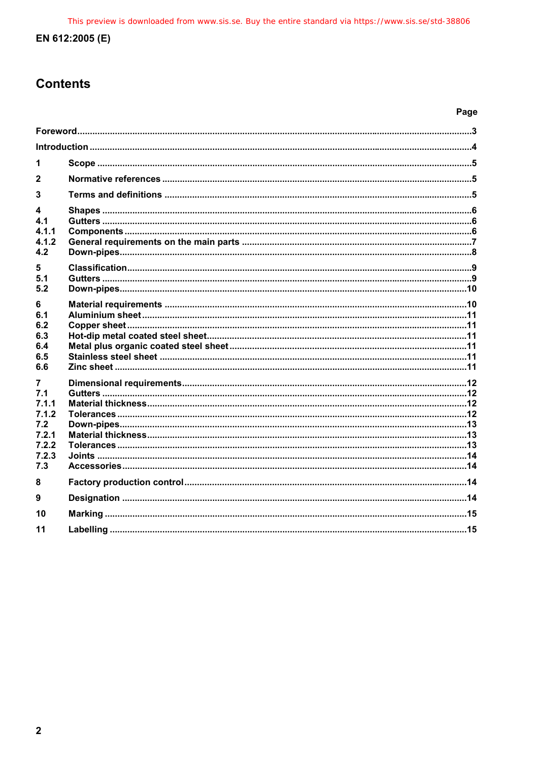# EN 612:2005 (E)

# **Contents**

# Page

| 1                                                                   |  |  |
|---------------------------------------------------------------------|--|--|
| $\mathbf{2}$                                                        |  |  |
| 3                                                                   |  |  |
| 4<br>4.1<br>4.1.1<br>4.1.2<br>4.2                                   |  |  |
| 5<br>51<br>5.2                                                      |  |  |
| 6<br>6.1<br>6.2<br>6.3<br>6.4<br>6.5<br>6.6                         |  |  |
| 7<br>7.1<br>7.1.1<br>7.1.2<br>7.2<br>7.2.1<br>7.2.2<br>7.2.3<br>7.3 |  |  |
| 8                                                                   |  |  |
| 9                                                                   |  |  |
| 10                                                                  |  |  |
| 11                                                                  |  |  |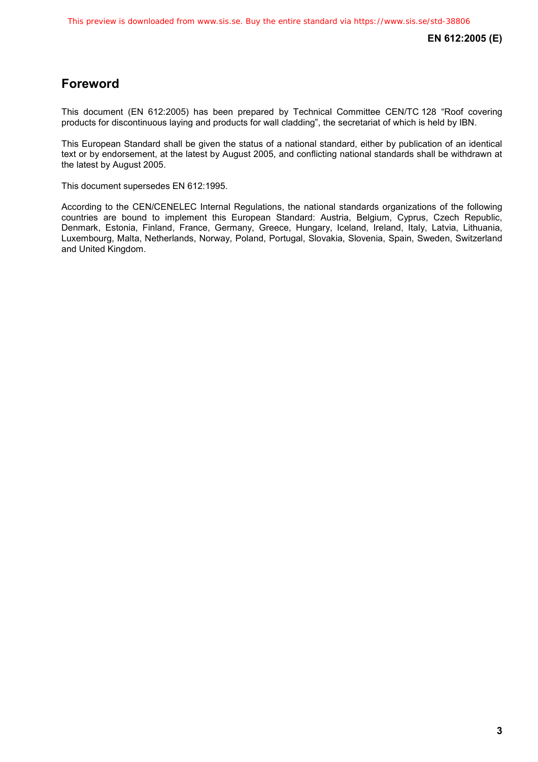# **Foreword**

This document (EN 612:2005) has been prepared by Technical Committee CEN/TC 128 "Roof covering products for discontinuous laying and products for wall cladding", the secretariat of which is held by IBN.

This European Standard shall be given the status of a national standard, either by publication of an identical text or by endorsement, at the latest by August 2005, and conflicting national standards shall be withdrawn at the latest by August 2005.

This document supersedes EN 612:1995.

According to the CEN/CENELEC Internal Regulations, the national standards organizations of the following countries are bound to implement this European Standard: Austria, Belgium, Cyprus, Czech Republic, Denmark, Estonia, Finland, France, Germany, Greece, Hungary, Iceland, Ireland, Italy, Latvia, Lithuania, Luxembourg, Malta, Netherlands, Norway, Poland, Portugal, Slovakia, Slovenia, Spain, Sweden, Switzerland and United Kingdom.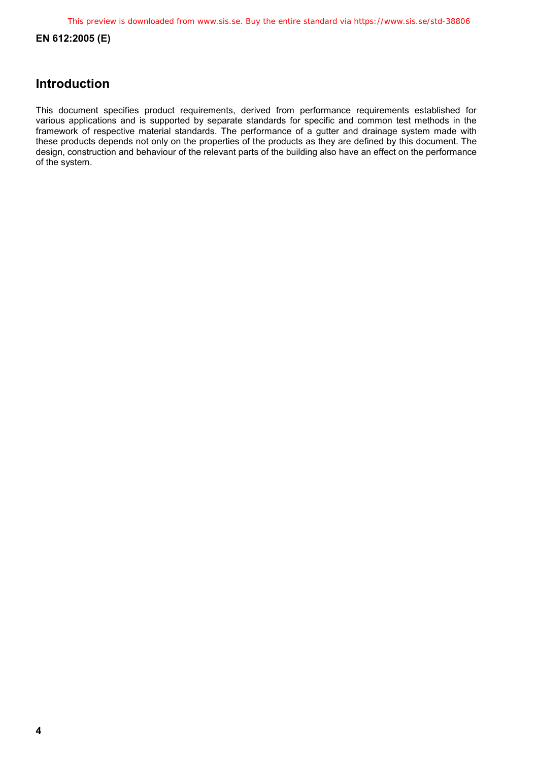**EN 612:2005 (E)** 

# **Introduction**

This document specifies product requirements, derived from performance requirements established for various applications and is supported by separate standards for specific and common test methods in the framework of respective material standards. The performance of a gutter and drainage system made with these products depends not only on the properties of the products as they are defined by this document. The design, construction and behaviour of the relevant parts of the building also have an effect on the performance of the system.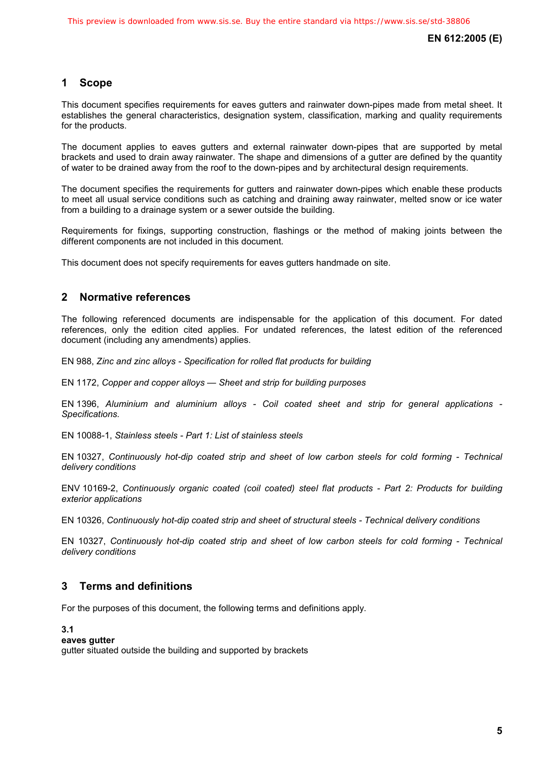# **1 Scope**

This document specifies requirements for eaves gutters and rainwater down-pipes made from metal sheet. It establishes the general characteristics, designation system, classification, marking and quality requirements for the products.

The document applies to eaves gutters and external rainwater down-pipes that are supported by metal brackets and used to drain away rainwater. The shape and dimensions of a gutter are defined by the quantity of water to be drained away from the roof to the down-pipes and by architectural design requirements.

The document specifies the requirements for gutters and rainwater down-pipes which enable these products to meet all usual service conditions such as catching and draining away rainwater, melted snow or ice water from a building to a drainage system or a sewer outside the building.

Requirements for fixings, supporting construction, flashings or the method of making joints between the different components are not included in this document.

This document does not specify requirements for eaves gutters handmade on site.

# **2 Normative references**

The following referenced documents are indispensable for the application of this document. For dated references, only the edition cited applies. For undated references, the latest edition of the referenced document (including any amendments) applies.

EN 988, *Zinc and zinc alloys - Specification for rolled flat products for building*

EN 1172, *Copper and copper alloys — Sheet and strip for building purposes* 

EN 1396, *Aluminium and aluminium alloys - Coil coated sheet and strip for general applications - Specifications.*

EN 10088-1, *Stainless steels - Part 1: List of stainless steels*

EN 10327, *Continuously hot-dip coated strip and sheet of low carbon steels for cold forming - Technical delivery conditions* 

ENV 10169-2, *Continuously organic coated (coil coated) steel flat products - Part 2: Products for building exterior applications* 

EN 10326, *Continuously hot-dip coated strip and sheet of structural steels - Technical delivery conditions* 

EN 10327, *Continuously hot-dip coated strip and sheet of low carbon steels for cold forming - Technical delivery conditions* 

# **3 Terms and definitions**

For the purposes of this document, the following terms and definitions apply.

### **3.1**

### **eaves gutter**

gutter situated outside the building and supported by brackets